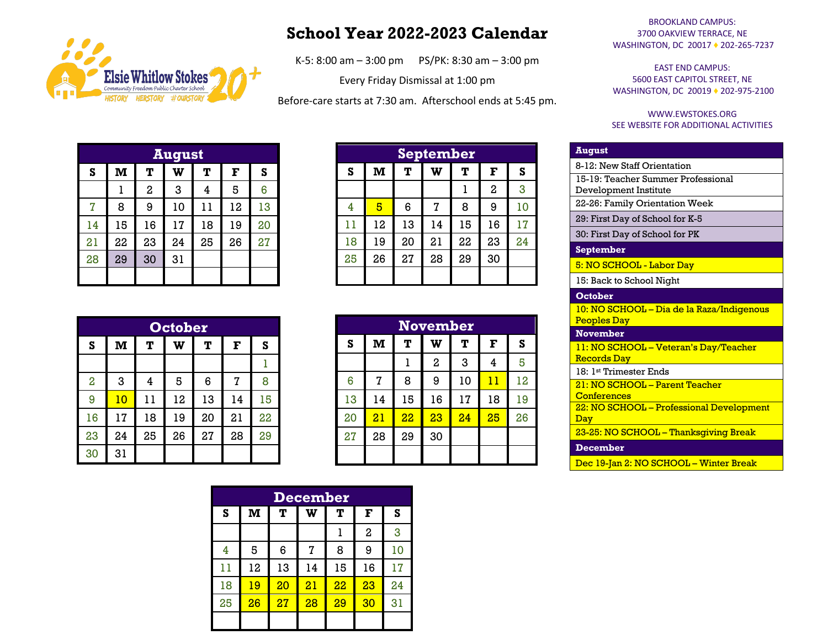

## **School Year 2022-2023 Calendar**

K-5: 8:00 am – 3:00 pm PS/PK: 8:30 am – 3:00 pm

Every Friday Dismissal at 1:00 pm

Before-care starts at 7:30 am. Afterschool ends at 5:45 pm.

| <b>August</b> |     |                |    |    |    |    |  |  |
|---------------|-----|----------------|----|----|----|----|--|--|
| S             | $M$ | T              | W  | T  | F  | S  |  |  |
|               |     | $\overline{a}$ | 3  | 4  | 5  | 6  |  |  |
| 7             | 8   | 9              | 10 | 11 | 12 | 13 |  |  |
| 14            | 15  | 16             | 17 | 18 | 19 | 20 |  |  |
| 21            | 22  | 23             | 24 | 25 | 26 | 27 |  |  |
| 28            | 29  | 30             | 31 |    |    |    |  |  |
|               |     |                |    |    |    |    |  |  |

| <b>September</b> |              |    |    |    |                |    |  |  |
|------------------|--------------|----|----|----|----------------|----|--|--|
| S                | $\mathbf{M}$ | T  | W  | т  | F              | S  |  |  |
|                  |              |    |    |    | $\overline{a}$ | 3  |  |  |
| 4                | 5            | 6  | 7  | 8  | 9              | 10 |  |  |
| 11               | 12           | 13 | 14 | 15 | 16             | 17 |  |  |
| 18               | 19           | 20 | 21 | 22 | 23             | 24 |  |  |
| 25               | 26           | 27 | 28 | 29 | 30             |    |  |  |
|                  |              |    |    |    |                |    |  |  |

|                | <b>October</b>                                        |    |    |    |    |    |  |  |  |
|----------------|-------------------------------------------------------|----|----|----|----|----|--|--|--|
| S              | $\mathbf{M}% _{T}=\mathbf{M}_{T}\times\mathbf{M}_{T}$ | T  | W  | T  | F  | S  |  |  |  |
|                |                                                       |    |    |    |    |    |  |  |  |
| $\overline{2}$ | 3                                                     | 4  | 5  | 6  | 7  | 8  |  |  |  |
| 9              | 10                                                    | 11 | 12 | 13 | 14 | 15 |  |  |  |
| 16             | 17                                                    | 18 | 19 | 20 | 21 | 22 |  |  |  |
| 23             | 24                                                    | 25 | 26 | 27 | 28 | 29 |  |  |  |
| 30             | 31                                                    |    |    |    |    |    |  |  |  |

| <b>November</b> |                 |    |                  |    |    |    |  |
|-----------------|-----------------|----|------------------|----|----|----|--|
| S               | M               | T  | W                | T  | F  | S  |  |
|                 |                 | ı  | $\boldsymbol{2}$ | 3  | 4  | 5  |  |
| 6               | 7               | 8  | 9                | 10 | 11 | 12 |  |
| 13              | 14              | 15 | 16               | 17 | 18 | 19 |  |
| 20              | $\overline{21}$ | 22 | 23               | 24 | 25 | 26 |  |
| 27              | 28              | 29 | 30               |    |    |    |  |
|                 |                 |    |                  |    |    |    |  |

|    | <b>December</b> |    |    |    |                |    |  |  |  |
|----|-----------------|----|----|----|----------------|----|--|--|--|
| S  | $\mathbf{M}$    | т  | W  | т  | F              | S  |  |  |  |
|    |                 |    |    |    | $\overline{a}$ | 3  |  |  |  |
| 4  | 5               | 6  | 7  | 8  | 9              | 10 |  |  |  |
| 11 | 12              | 13 | 14 | 15 | 16             | 17 |  |  |  |
| 18 | 19              | 20 | 21 | 22 | 23             | 24 |  |  |  |
| 25 | 26              | 27 | 28 | 29 | 30             | 31 |  |  |  |
|    |                 |    |    |    |                |    |  |  |  |

## BROOKLAND CAMPUS: 3700 OAKVIEW TERRACE, NE WASHINGTON, DC 20017 ♦ 202-265-7237

EAST END CAMPUS: 5600 EAST CAPITOL STREET, NE WASHINGTON, DC 20019 ♦ 202-975-2100

## WWW.EWSTOKES.ORG SEE WEBSITE FOR ADDITIONAL ACTIVITIES

| <b>August</b>                                                   |
|-----------------------------------------------------------------|
| 8-12: New Staff Orientation                                     |
| 15-19: Teacher Summer Professional<br>Development Institute     |
| 22-26: Family Orientation Week                                  |
| 29: First Day of School for K-5                                 |
| 30: First Day of School for PK                                  |
| September                                                       |
| 5: NO SCHOOL - Labor Day                                        |
| 15: Back to School Night                                        |
| October                                                         |
| 10: NO SCHOOL - Dia de la Raza/Indigenous<br><b>Peoples Day</b> |
| <b>November</b>                                                 |
| 11: NO SCHOOL - Veteran's Day/Teacher<br><b>Records Day</b>     |
| 18: 1st Trimester Ends                                          |
| $21: NO SCHOOI1 - Parent Teacher$<br>Conferences                |
| 22: NO SCHOOL - Professional Development<br>Day                 |
| 23-25: NO SCHOOL - Thanksgiving Break                           |
| <b>December</b>                                                 |
| Dec 19-Jan 2: NO SCHOOL - Winter Break                          |